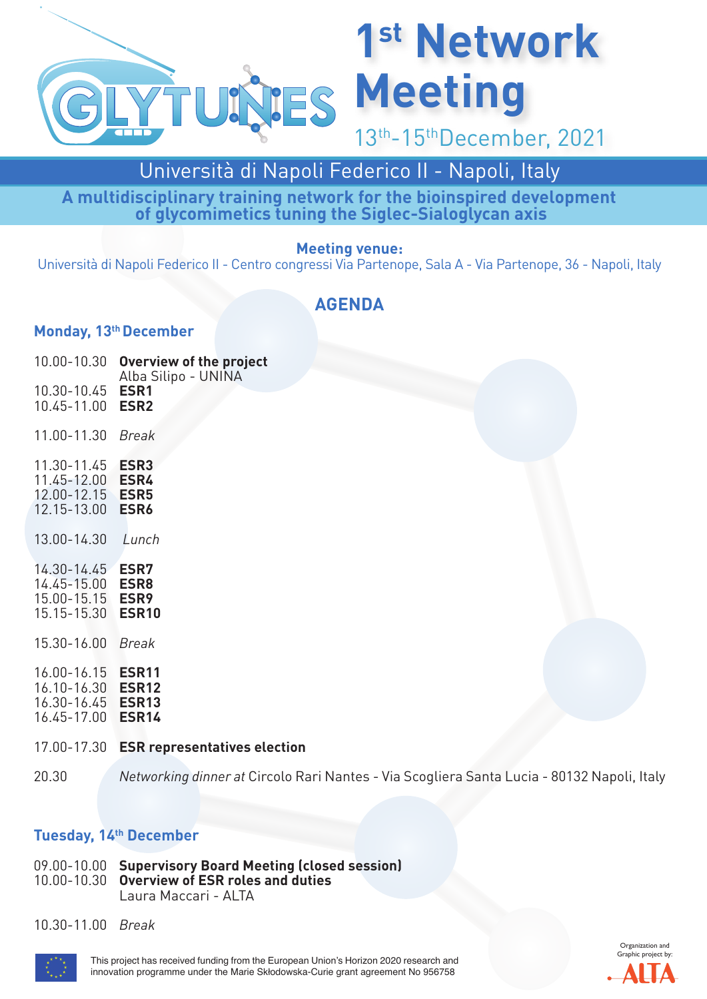

# **1st Network**

13th-15thDecember, 2021

### Università di Napoli Federico II - Napoli, Italy

**A multidisciplinary training network for the bioinspired development of glycomimetics tuning the Siglec-Sialoglycan axis**

#### **Meeting venue:**

Università di Napoli Federico II - Centro congressi Via Partenope, Sala A - Via Partenope, 36 - Napoli, Italy

### **AGENDA**

### **Monday, 13<sup>th</sup> December**

| 10.00-10.30                                                                               | <b>Overview of the project</b><br>Alba Silipo - UNINA        |
|-------------------------------------------------------------------------------------------|--------------------------------------------------------------|
| 10.30-10.45<br>10.45-11.00                                                                | ESR1<br>ESR <sub>2</sub>                                     |
| 11.00-11.30                                                                               | <b>Break</b>                                                 |
| $11.30 - 11.45$<br>11.45-12.00 ESR4<br>12.00-12.15 <b>ESR5</b><br>12.15-13.00 <b>ESR6</b> | ESR <sub>3</sub>                                             |
| 13.00-14.30                                                                               | Lunch                                                        |
| 14.30-14.45<br>14.45-15.00<br>15.00-15.15<br>15.15-15.30                                  | <b>ESR7</b><br>ESR8<br>ESR <sub>9</sub><br>ESR <sub>10</sub> |
| 15.30-16.00                                                                               | <b>Break</b>                                                 |
| 16.00-16.15<br>16.10-16.30 <b>ESR12</b><br>16.30-16.45 <b>ESR13</b><br>16.45-17.00        | <b>ESR11</b><br>ESR <sub>14</sub>                            |
| 17.00-17.30                                                                               | <b>ESR</b> representatives election                          |

20.30 *Networking dinner at* Circolo Rari Nantes - Via Scogliera Santa Lucia - 80132 Napoli, Italy

### **Tuesday, 14th December**

09.00-10.00 **Supervisory Board Meeting (closed session)** 10.00-10.30 **Overview of ESR roles and duties** Laura Maccari - ALTA

10.30-11.00 *Break*